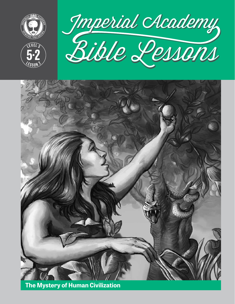







**The Mystery of Human Civilization**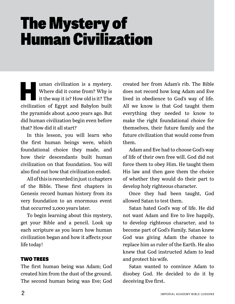# The Mystery of Human Civilization

**Human civilization is a mystery.<br>
Where did it come from? Why is<br>
it the way it is? How old is it? The<br>
similiation of Frunt and Babelen huilt** Where did it come from? Why is it the way it is? How old is it? The civilization of Egypt and Babylon built the pyramids about 4,000 years ago. But did human civilization begin even before that? How did it all start?

In this lesson, you will learn who the first human beings were, which foundational choice they made, and how their descendants built human civilization on that foundation. You will also find out how that civilization ended.

All of this is recorded in just 11 chapters of the Bible. These first chapters in Genesis record human history from its very foundation to an enormous event that occurred 2,000 years later.

To begin learning about this mystery, get your Bible and a pencil. Look up each scripture as you learn how human civilization began and how it affects your life today!

### TWO TREES

The first human being was Adam; God created him from the dust of the ground. The second human being was Eve; God

created her from Adam's rib. The Bible does not record how long Adam and Eve lived in obedience to God's way of life. All we know is that God taught them everything they needed to know to make the right foundational choice for themselves, their future family and the future civilization that would come from them.

Adam and Eve had to choose God's way of life of their own free will. God did not force them to obey Him. He taught them His law and then gave them the choice of whether they would do their part to develop holy righteous character.

Once they had been taught, God allowed Satan to test them.

Satan hated God's way of life. He did not want Adam and Eve to live happily, to develop righteous character, and to become part of God's Family. Satan knew God was giving Adam the chance to replace him as ruler of the Earth. He also knew that God instructed Adam to lead and protect his wife.

Satan wanted to convince Adam to disobey God. He decided to do it by deceiving Eve first.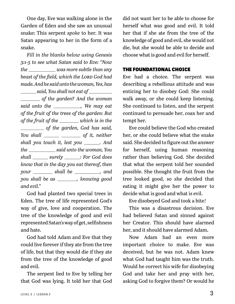One day, Eve was walking alone in the Garden of Eden and she saw an unusual snake: This serpent *spoke* to her. It was Satan appearing to her in the form of a snake.

*Fill in the blanks below using Genesis 3:1-5 to see what Satan said to Eve: "Now the was more subtle than any beast of the field, which the Lord God had made. And he said unto the woman, Yes, has said, You shall not eat of of the garden? And the woman said unto the , We may eat of the fruit of the trees of the garden: But of the fruit of the* \_\_\_\_\_\_\_ which is in the  *of the garden, God has said, You shall* \_\_\_\_\_\_\_ \_\_\_\_\_\_\_\_\_ of it, neither *shall you touch it, lest you . And the* \_\_\_\_\_\_\_\_\_\_\_\_\_ said unto the woman, You *shall surely : For God does know that in the day you eat thereof, then your* \_\_\_\_\_\_\_\_ shall be \_\_\_\_\_\_\_\_\_, and *you shall be as , knowing good and evil."*

God had planted two special trees in Eden. The tree of life represented God's way of give, love and cooperation. The tree of the knowledge of good and evil represented Satan's way of get, selfishness and hate.

God had told Adam and Eve that they could live forever if they ate from the tree of life, but that they would die if they ate from the tree of the knowledge of good and evil.

The serpent lied to Eve by telling her that God was lying. It told her that God

did not want her to be able to choose for herself what was good and evil. It told her that if she ate from the tree of the knowledge of good and evil, she would not die, but she would be able to decide and choose what is good and evil for herself.

#### THE FOUNDATIONAL CHOICE

Eve had a choice. The serpent was describing a rebellious attitude and was enticing her to disobey God: She could walk away, or she could keep listening. She continued to listen, and the serpent continued to persuade her, coax her and tempt her.

Eve could believe the God who created her, or she could believe what the snake said. She decided to figure out the answer for herself, using human reasoning rather than believing God. She decided that what the serpent told her sounded possible. She thought the fruit from the tree looked good, so she decided that eating it might give her the power to decide what is good and what is evil.

Eve disobeyed God and took a bite!

This was a disastrous decision. Eve had believed Satan and sinned against her Creator. This should have alarmed her, and it should have alarmed Adam.

Now Adam had an even more important choice to make. Eve was deceived, but he was not. Adam knew what God had taught him was the truth. Would he correct his wife for disobeying God and take her and pray with her, asking God to forgive them? Or would he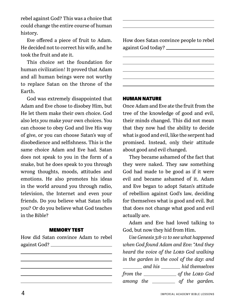rebel against God? This was a choice that could change the entire course of human history.

Eve offered a piece of fruit to Adam. He decided not to correct his wife, and he took the fruit and ate it.

This choice set the foundation for human civilization! It proved that Adam and all human beings were not worthy to replace Satan on the throne of the Earth.

God was extremely disappointed that Adam and Eve chose to disobey Him, but He let them make their own choice. God also lets *you* make your own choices. You can choose to obey God and live His way of give, or you can choose Satan's way of disobedience and selfishness. This is the same choice Adam and Eve had. Satan does not speak to you in the form of a snake, but he does speak to you through wrong thoughts, moods, attitudes and emotions. He also promotes his ideas in the world around you through radio, television, the Internet and even your friends. Do you believe what Satan tells you? Or do you believe what God teaches in the Bible?

#### MEMORY TEST

How did Satan convince Adam to rebel against God? How does Satan convince people to rebel against God today?

#### HUMAN NATURE

Once Adam and Eve ate the fruit from the tree of the knowledge of good and evil, their minds changed. This did not mean that they now had the ability to decide what is good and evil, like the serpent had promised. Instead, only their attitude about good and evil changed.

They became ashamed of the fact that they were naked. They saw something God had made to be good as if it were evil and became ashamed of it. Adam and Eve began to adopt Satan's attitude of rebellion against God's law, deciding for themselves what is good and evil. But that does not change what good and evil actually are.

Adam and Eve had loved talking to God, but now they hid from Him.

*Use Genesis 3:8-11 to see what happened when God found Adam and Eve: "And they heard the voice of the Lord God walking in the garden in the cool of the day: and and his and his ind themselves from the of the Lord God*  among the \_\_\_\_\_\_\_\_\_ of the garden.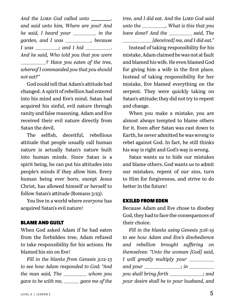And the LORD God called unto \_\_\_\_\_\_\_, *and said unto him, Where are you? And he said, I heard your \_\_\_\_\_\_\_\_ in the garden, and I was* \_\_\_\_\_\_\_\_\_\_, *because I* was \_\_\_\_\_\_\_; and *I hid* \_\_\_\_\_\_\_\_. *And he said, Who told you that you were ? Have you eaten of the tree, whereof I commanded you that you should not eat?"*

God could tell that Adam's attitude had changed. A spirit of rebellion had entered into his mind and Eve's mind. Satan had acquired his sinful, evil nature through vanity and false reasoning. Adam and Eve received their evil nature directly from Satan the devil.

The selfish, deceitful, rebellious attitude that people usually call human nature is actually Satan's nature built into human minds. Since Satan is a spirit being, he can put his attitudes into people's minds if they allow him. Every human being ever born, except Jesus Christ, has allowed himself or herself to follow Satan's attitude (Romans 3:23).

You live in a world where *everyone* has acquired Satan's evil nature!

#### BLAME AND GUILT

When God asked Adam if he had eaten from the forbidden tree, Adam refused to take responsibility for his actions. He blamed his sin on Eve!

*Fill in the blanks from Genesis 3:12-13 to see how Adam responded to God: "And the man said, The whom you gave to be with me, gave me of the* 

*tree, and I did eat. And the Lord God said unto the , What is this that you have done? And the said, The [deceived] me, and I did eat."*

Instead of taking responsibility for his mistake, Adam claimed he was not at fault and blamed his wife. He even blamed God for giving him a wife in the first place. Instead of taking responsibility for her mistake, Eve blamed everything on the serpent. They were quickly taking on Satan's attitude; they did not try to repent and change.

When you make a mistake, you are almost always tempted to blame others for it. Even after Satan was cast down to Earth, he never admitted he was wrong to rebel against God. In fact, he still thinks his way is right and God's way is wrong.

Satan wants us to hide our mistakes and blame others. God wants us to admit our mistakes, repent of our sins, turn to Him for forgiveness, and strive to do better in the future!

#### EXILED FROM EDEN

Because Adam and Eve chose to disobey God, they had to face the consequences of their choice.

*Fill in the blanks using Genesis 3:16-19 to see how Adam and Eve's disobedience and rebellion brought suffering on themselves: "Unto the woman [God] said, I will greatly multiply your and your ; in you shall bring forth* \_\_\_\_\_\_\_\_\_\_\_; and *your desire shall be to your husband, and*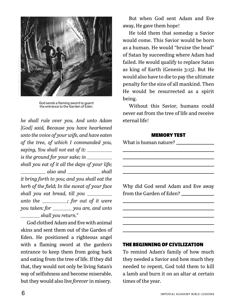

God sends a flaming sword to guard the entrance to the Garden of Eden.

*he shall rule over you. And unto Adam [God] said, Because you have hearkened unto the voice of your wife, and have eaten of the tree, of which I commanded you, saying, You shall not eat of it: is the ground for your sake; in shall you eat of it all the days of your life; also and \_\_\_\_\_\_\_\_\_\_\_\_ shall it bring forth to you; and you shall eat the herb of the field; In the sweat of your face shall you eat bread, till you unto the ; for out of it were you taken: for \_\_\_\_\_\_\_ you are, and unto shall you return."*

God clothed Adam and Eve with animal skins and sent them out of the Garden of Eden. He positioned a righteous angel with a flaming sword at the garden's entrance to keep them from going back and eating from the tree of life. If they did that, they would not only be living Satan's way of selfishness and become miserable, but they would also live *forever* in misery.

But when God sent Adam and Eve away, He gave them hope!

He told them that someday a Savior would come. This Savior would be born as a human. He would "bruise the head" of Satan by succeeding where Adam had failed. He would qualify to replace Satan as king of Earth (Genesis 3:15). But He would also have to die to pay the ultimate penalty for the sins of all mankind. Then He would be resurrected as a spirit being.

Without this Savior, humans could never eat from the tree of life and receive eternal life!

#### MEMORY TEST

|  | What is human nature? |  |
|--|-----------------------|--|
|  |                       |  |

Why did God send Adam and Eve away from the Garden of Eden?

#### THE BEGINNING OF CIVILIZATION

To remind Adam's family of how much they needed a Savior and how much they needed to repent, God told them to kill a lamb and burn it on an altar at certain times of the year.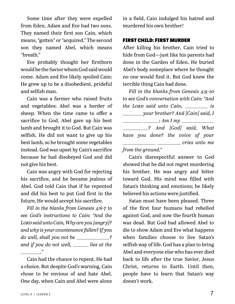Some time after they were expelled from Eden, Adam and Eve had two sons. They named their first son Cain, which means, "gotten" or "acquired." The second son they named Abel, which means "breath."

Eve probably thought her firstborn would be the Savior whom God said would come. Adam and Eve likely spoiled Cain: He grew up to be a disobedient, prideful and selfish man.

Cain was a farmer who raised fruits and vegetables; Abel was a herder of sheep. When the time came to offer a sacrifice to God, Abel gave up his best lamb and brought it to God. But Cain was selfish. He did not want to give up his best lamb, so he brought some vegetables instead. God was upset by Cain's sacrifice because he had disobeyed God and did not give his best.

Cain was angry with God for rejecting his sacrifice, and he became jealous of Abel. God told Cain that if he repented and did his best to put God first in the future, He would accept his sacrifice.

*Fill in the blanks from Genesis 4:6-7 to see God's instructions to Cain: "And the Lord said unto Cain, Why are you [angry]? and why is your countenance fallen? If you do well, shall you not be \_\_\_\_\_\_\_\_\_\_\_*? *and if you do not well, \_\_\_\_\_ lies at the* 

Cain had the chance to repent. He had a choice. But despite God's warning, Cain chose to be envious of and hate Abel. One day, when Cain and Abel were alone

in a field, Cain indulged his hatred and murdered his own brother!

#### FIRST CHILD: FIRST MURDER

After killing his brother, Cain tried to hide from God—just like his parents had done in the Garden of Eden. He buried Abel's body someplace where he thought no one would find it. But God knew the terrible thing Cain had done.

*Fill in the blanks from Genesis 4:9-10 to see God's conversation with Cain: "And the LORD said unto Cain, will be LORD said unto Cain, where is your brother? And [Cain] said, I : Am I my ? And [God] said, What have you done? the voice of your cries unto me cries unto me from the ground."*

Cain's disrespectful answer to God showed that he did not regret murdering his brother. He was angry and bitter toward God. His mind was filled with Satan's thinking and emotions; he likely believed his actions were justified.

Satan must have been pleased. Three of the first four humans had rebelled against God, and now the fourth human was dead. But God had allowed Abel to die to show Adam and Eve what happens when families choose to live Satan's selfish way of life. God has a plan to bring Abel and everyone else who has ever died back to life after the true Savior, Jesus Christ, returns to Earth. Until then, people have to learn that Satan's way doesn't work.

*."*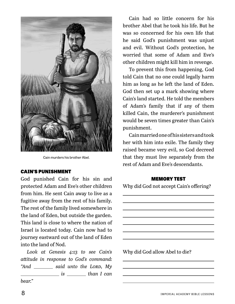

Cain murders his brother Abel.

#### CAIN'S PUNISHMENT

God punished Cain for his sin and protected Adam and Eve's other children from him. He sent Cain away to live as a fugitive away from the rest of his family. The rest of the family lived somewhere in the land of Eden, but outside the garden. This land is close to where the nation of Israel is located today. Cain now had to journey eastward out of the land of Eden into the land of Nod.

*Look at Genesis 4:13 to see Cain's attitude in response to God's command:*  "And \_\_\_\_\_\_\_\_\_ said unto the LORD, My *is is is than I can bear."*

Cain had so little concern for his brother Abel that he took his life. But he was so concerned for his own life that he said God's punishment was unjust and evil. Without God's protection, he worried that some of Adam and Eve's other children might kill him in revenge.

To prevent this from happening, God told Cain that no one could legally harm him as long as he left the land of Eden. God then set up a mark showing where Cain's land started. He told the members of Adam's family that if any of them killed Cain, the murderer's punishment would be seven times greater than Cain's punishment.

Cain married one of his sisters and took her with him into exile. The family they raised became very evil, so God decreed that they must live separately from the rest of Adam and Eve's descendants.

#### MEMORY TEST

Why did God not accept Cain's offering?

Why did God allow Abel to die?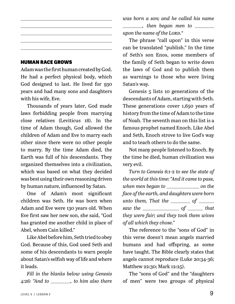#### HUMAN RACE GROWS

Adam was the first human created by God. He had a perfect physical body, which God designed to last. He lived for 930 years and had many sons and daughters with his wife, Eve.

Thousands of years later, God made laws forbidding people from marrying close relatives (Leviticus 18). In the time of Adam though, God allowed the children of Adam and Eve to marry each other since there were no other people to marry. By the time Adam died, the Earth was full of his descendants. They organized themselves into a civilization, which was based on what they decided was best using their own reasoning driven by human nature, influenced by Satan.

One of Adam's most significant children was Seth. He was born when Adam and Eve were 130 years old. When Eve first saw her new son, she said, "God has granted me another child in place of Abel, whom Cain killed."

Like Abel before him, Seth tried to obey God. Because of this, God used Seth and some of his descendants to warn people about Satan's selfish way of life and where it leads.

*Fill in the blanks below using Genesis 4:26: "And to , to him also there*  *was born a son; and he called his name , then began men to upon the name of the Lord."*

The phrase "call upon" in this verse can be translated "publish." In the time of Seth's son Enos, some members of the family of Seth began to write down the laws of God and to publish them as warnings to those who were living Satan's way.

Genesis 5 lists 10 generations of the descendants of Adam, starting with Seth. These generations cover 1,650 years of history from the time of Adam to the time of Noah. The seventh man on this list is a famous prophet named Enoch. Like Abel and Seth, Enoch strove to live God's way and to teach others to do the same.

Not many people listened to Enoch. By the time he died, human civilization was very evil.

*Turn to Genesis 6:1-2 to see the state of the world at this time: "And it came to pass, when men began to on the face of the earth, and daughters were born*   $\mu$  *unto them, That the*  $\mu$  *of*  $\mu$ *saw the of that they were fair; and they took them wives of all which they chose."*

The reference to the "sons of God" in this verse doesn't mean angels married humans and had offspring, as some have taught. The Bible clearly states that angels cannot reproduce (Luke 20:34-36; Matthew 22:30; Mark 12:25).

The "sons of God" and the "daughters of men" were two groups of physical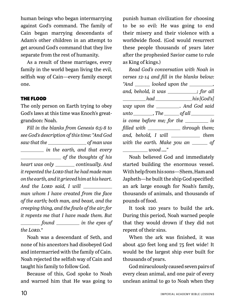human beings who began intermarrying against God's command. The family of Cain began marrying descendants of Adam's other children in an attempt to get around God's command that they live separate from the rest of humanity.

As a result of these marriages, every family in the world began living the evil, selfish way of Cain—every family except one.

#### THE FLOOD

The only person on Earth trying to obey God's laws at this time was Enoch's greatgrandson: Noah.

*Fill in the blanks from Genesis 6:5-8 to see God's description of this time: "And God saw that the of man was in the earth, and that every of the thoughts of his heart was only* \_\_\_\_\_\_\_\_ *continually. And it repented the Lord that he had made man on the earth, and it grieved him at his heart. And the Lord said, I will man whom I have created from the face of the earth; both man, and beast, and the creeping thing, and the fowls of the air; for it repents me that I have made them. But found in the eyes of the Lord."*

Noah was a descendant of Seth, and none of his ancestors had disobeyed God and intermarried with the family of Cain. Noah rejected the selfish way of Cain and taught his family to follow God.

Because of this, God spoke to Noah and warned him that He was going to

punish human civilization for choosing to be so evil: He was going to end their misery and their violence with a worldwide flood. (God would resurrect these people thousands of years later after the prophesied Savior came to rule as King of kings.)

*Read God's conversation with Noah in verses 12-14 and fill in the blanks below:*  "And \_\_\_\_\_\_\_ looked upon the \_\_\_\_\_\_\_\_, *and, behold, it was* \_\_\_\_\_\_\_\_\_; for all *had had his* [God's] *way upon the . And God said unto* \_\_\_\_\_\_\_\_, The \_\_\_\_\_\_\_ of all \_\_\_\_\_\_\_\_\_ *is come before me; for the \_\_\_\_\_\_\_\_\_ is filled with* \_\_\_\_\_\_\_\_\_\_\_\_\_\_ through them; *and, behold, I will* \_\_\_\_\_\_\_\_\_\_\_\_ *them with the earth. Make you an* \_\_\_\_\_\_ of *wood …."*

Noah believed God and immediately started building the enormous vessel. With help from his sons—Shem, Ham and Japheth—he built the ship God specified: an ark large enough for Noah's family, thousands of animals, and thousands of pounds of food.

It took 120 years to build the ark. During this period, Noah warned people that they would drown if they did not repent of their sins.

When the ark was finished, it was about 450 feet long and 75 feet wide! It would be the largest ship ever built for thousands of years.

God miraculously caused seven pairs of every clean animal, and one pair of every unclean animal to go to Noah when they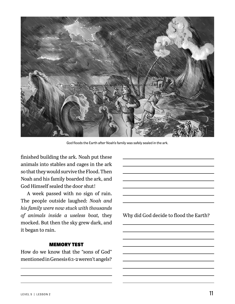

God floods the Earth after Noah's family was safely sealed in the ark.

finished building the ark. Noah put these animals into stables and cages in the ark so that they would survive the Flood. Then Noah and his family boarded the ark, and God Himself sealed the door shut!

A week passed with no sign of rain. The people outside laughed: *Noah and his family were now stuck with thousands of animals inside a useless boat,* they mocked. But then the sky grew dark, and it began to rain.

#### MEMORY TEST

How do we know that the "sons of God" mentioned in Genesis 6:1-2 weren't angels? Why did God decide to flood the Earth?